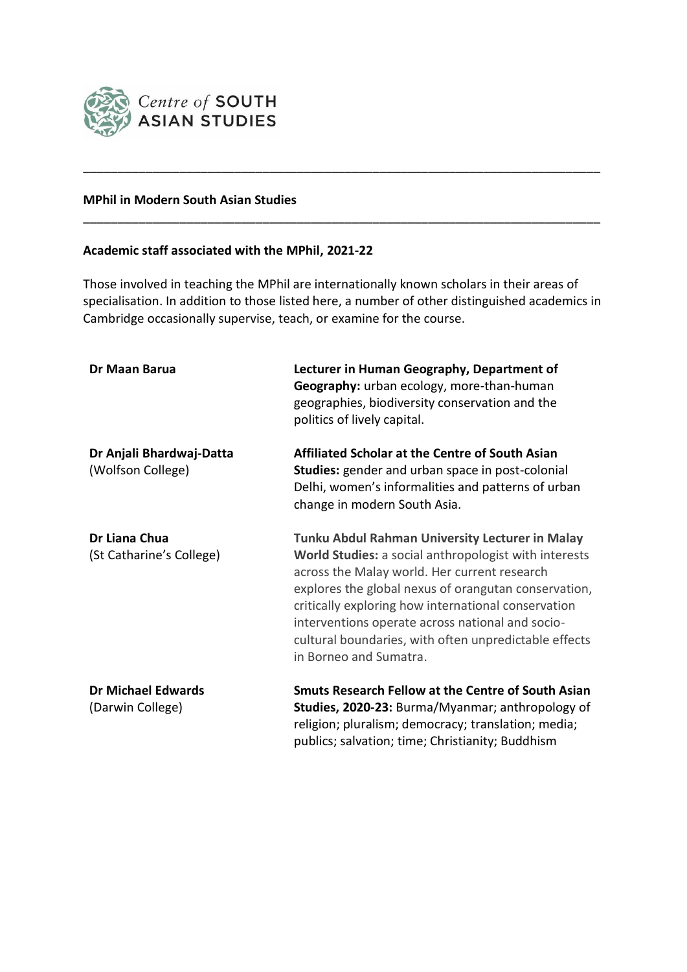

## **MPhil in Modern South Asian Studies**

## **Academic staff associated with the MPhil, 2021-22**

Those involved in teaching the MPhil are internationally known scholars in their areas of specialisation. In addition to those listed here, a number of other distinguished academics in Cambridge occasionally supervise, teach, or examine for the course.

\_\_\_\_\_\_\_\_\_\_\_\_\_\_\_\_\_\_\_\_\_\_\_\_\_\_\_\_\_\_\_\_\_\_\_\_\_\_\_\_\_\_\_\_\_\_\_\_\_\_\_\_\_\_\_\_\_\_\_\_\_\_\_\_\_\_\_\_\_\_\_\_\_\_\_

\_\_\_\_\_\_\_\_\_\_\_\_\_\_\_\_\_\_\_\_\_\_\_\_\_\_\_\_\_\_\_\_\_\_\_\_\_\_\_\_\_\_\_\_\_\_\_\_\_\_\_\_\_\_\_\_\_\_\_\_\_\_\_\_\_\_\_\_\_\_\_\_\_\_\_

| Dr Maan Barua                                 | Lecturer in Human Geography, Department of<br>Geography: urban ecology, more-than-human<br>geographies, biodiversity conservation and the<br>politics of lively capital.                                                                                                                                                                                                                                       |
|-----------------------------------------------|----------------------------------------------------------------------------------------------------------------------------------------------------------------------------------------------------------------------------------------------------------------------------------------------------------------------------------------------------------------------------------------------------------------|
| Dr Anjali Bhardwaj-Datta<br>(Wolfson College) | Affiliated Scholar at the Centre of South Asian<br>Studies: gender and urban space in post-colonial<br>Delhi, women's informalities and patterns of urban<br>change in modern South Asia.                                                                                                                                                                                                                      |
| Dr Liana Chua<br>(St Catharine's College)     | Tunku Abdul Rahman University Lecturer in Malay<br>World Studies: a social anthropologist with interests<br>across the Malay world. Her current research<br>explores the global nexus of orangutan conservation,<br>critically exploring how international conservation<br>interventions operate across national and socio-<br>cultural boundaries, with often unpredictable effects<br>in Borneo and Sumatra. |
| <b>Dr Michael Edwards</b><br>(Darwin College) | Smuts Research Fellow at the Centre of South Asian<br>Studies, 2020-23: Burma/Myanmar; anthropology of<br>religion; pluralism; democracy; translation; media;<br>publics; salvation; time; Christianity; Buddhism                                                                                                                                                                                              |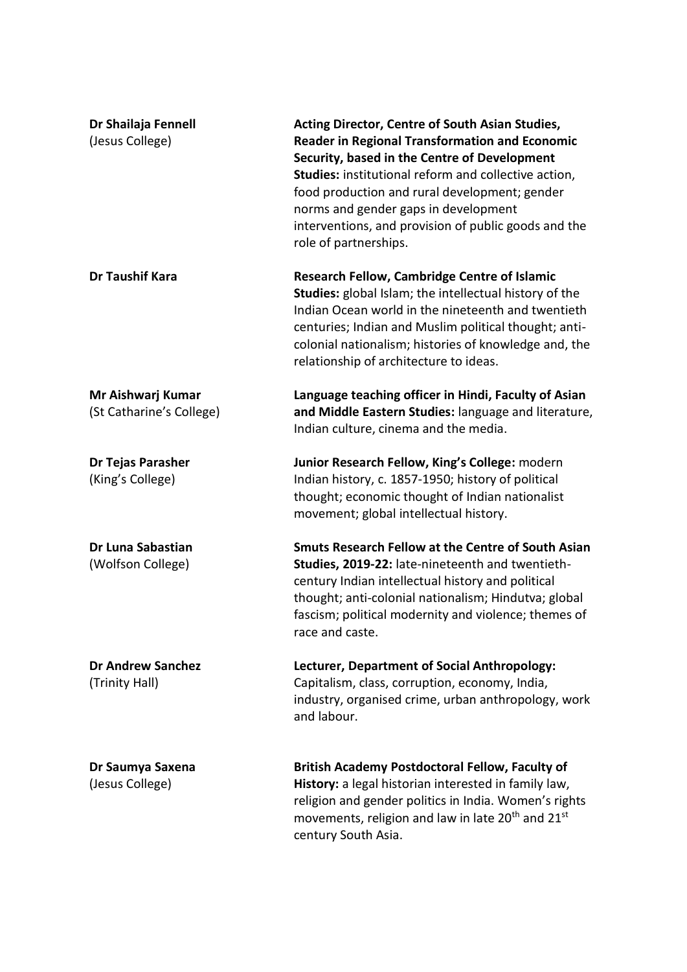| Dr Shailaja Fennell<br>(Jesus College)        | Acting Director, Centre of South Asian Studies,<br><b>Reader in Regional Transformation and Economic</b><br>Security, based in the Centre of Development<br>Studies: institutional reform and collective action,<br>food production and rural development; gender<br>norms and gender gaps in development<br>interventions, and provision of public goods and the<br>role of partnerships. |
|-----------------------------------------------|--------------------------------------------------------------------------------------------------------------------------------------------------------------------------------------------------------------------------------------------------------------------------------------------------------------------------------------------------------------------------------------------|
| <b>Dr Taushif Kara</b>                        | <b>Research Fellow, Cambridge Centre of Islamic</b><br><b>Studies:</b> global Islam; the intellectual history of the<br>Indian Ocean world in the nineteenth and twentieth<br>centuries; Indian and Muslim political thought; anti-<br>colonial nationalism; histories of knowledge and, the<br>relationship of architecture to ideas.                                                     |
| Mr Aishwarj Kumar<br>(St Catharine's College) | Language teaching officer in Hindi, Faculty of Asian<br>and Middle Eastern Studies: language and literature,<br>Indian culture, cinema and the media.                                                                                                                                                                                                                                      |
| Dr Tejas Parasher<br>(King's College)         | Junior Research Fellow, King's College: modern<br>Indian history, c. 1857-1950; history of political<br>thought; economic thought of Indian nationalist<br>movement; global intellectual history.                                                                                                                                                                                          |
| Dr Luna Sabastian<br>(Wolfson College)        | Smuts Research Fellow at the Centre of South Asian<br>Studies, 2019-22: late-nineteenth and twentieth-<br>century Indian intellectual history and political<br>thought; anti-colonial nationalism; Hindutva; global<br>fascism; political modernity and violence; themes of<br>race and caste.                                                                                             |
| <b>Dr Andrew Sanchez</b><br>(Trinity Hall)    | Lecturer, Department of Social Anthropology:<br>Capitalism, class, corruption, economy, India,<br>industry, organised crime, urban anthropology, work<br>and labour.                                                                                                                                                                                                                       |
| Dr Saumya Saxena<br>(Jesus College)           | <b>British Academy Postdoctoral Fellow, Faculty of</b><br>History: a legal historian interested in family law,<br>religion and gender politics in India. Women's rights<br>movements, religion and law in late 20 <sup>th</sup> and 21 <sup>st</sup><br>century South Asia.                                                                                                                |